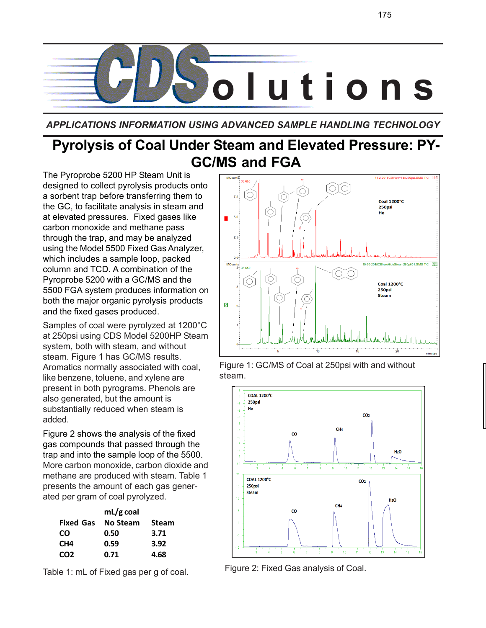

*APPLICATIONS INFORMATION USING ADVANCED SAMPLE HANDLING TECHNOLOGY*

# **Pyrolysis of Coal Under Steam and Elevated Pressure: PY-GC/MS and FGA**

The Pyroprobe 5200 HP Steam Unit is designed to collect pyrolysis products onto a sorbent trap before transferring them to the GC, to facilitate analysis in steam and at elevated pressures. Fixed gases like carbon monoxide and methane pass through the trap, and may be analyzed using the Model 5500 Fixed Gas Analyzer, which includes a sample loop, packed column and TCD. A combination of the Pyroprobe 5200 with a GC/MS and the 5500 FGA system produces information on both the major organic pyrolysis products and the fixed gases produced.

Samples of coal were pyrolyzed at 1200°C at 250psi using CDS Model 5200HP Steam system, both with steam, and without steam. Figure 1 has GC/MS results. Aromatics normally associated with coal, like benzene, toluene, and xylene are present in both pyrograms. Phenols are also generated, but the amount is substantially reduced when steam is added.

Figure 2 shows the analysis of the fixed gas compounds that passed through the trap and into the sample loop of the 5500. More carbon monoxide, carbon dioxide and methane are produced with steam. Table 1 presents the amount of each gas generated per gram of coal pyrolyzed.

|                  | $mL/g$ coal |              |
|------------------|-------------|--------------|
| <b>Fixed Gas</b> | No Steam    | <b>Steam</b> |
| <b>CO</b>        | 0.50        | 3.71         |
| CH <sub>4</sub>  | 0.59        | 3.92         |
| CO <sub>2</sub>  | 0.71        | 4.68         |

Table 1: mL of Fixed gas per g of coal.



Figure 1: GC/MS of Coal at 250psi with and without steam.



Figure 2: Fixed Gas analysis of Coal.